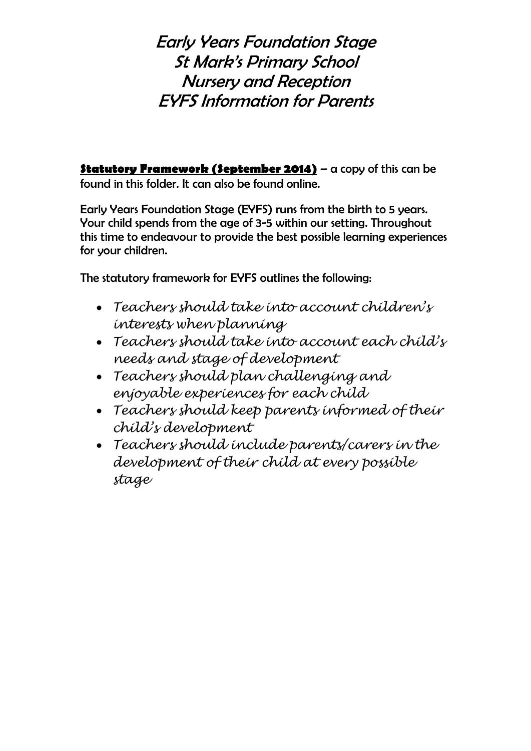Early Years Foundation Stage St Mark's Primary School Nursery and Reception EYFS Information for Parents

**Statutory Framework (September 2014)** – a copy of this can be found in this folder. It can also be found online.

Early Years Foundation Stage (EYFS) runs from the birth to 5 years. Your child spends from the age of 3-5 within our setting. Throughout this time to endeavour to provide the best possible learning experiences for your children.

The statutory framework for EYFS outlines the following:

- *Teachers should take into account children's interests when planning*
- *Teachers should take into account each child's needs and stage of development*
- *Teachers should plan challenging and enjoyable experiences for each child*
- *Teachers should keep parents informed of their child's development*
- *Teachers should include parents/carers in the development of their child at every possible stage*